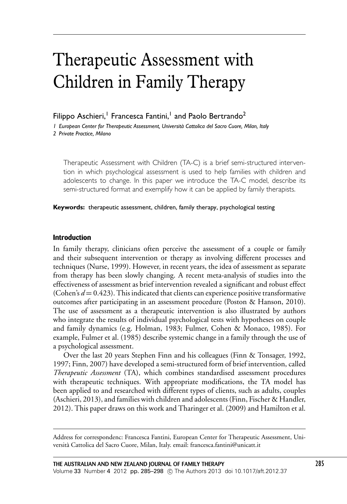# Therapeutic Assessment with Children in Family Therapy

Filippo Aschieri,<sup>1</sup> Francesca Fantini,<sup>1</sup> and Paolo Bertrando<sup>2</sup>

*1 European Center for Therapeutic Assessment, Universita Cattolica del Sacro Cuore, Milan, Italy `*

*2 Private Practice, Milano*

Therapeutic Assessment with Children (TA-C) is a brief semi-structured intervention in which psychological assessment is used to help families with children and adolescents to change. In this paper we introduce the TA-C model, describe its semi-structured format and exemplify how it can be applied by family therapists.

#### **Keywords:** therapeutic assessment, children, family therapy, psychological testing

### **Introduction**

In family therapy, clinicians often perceive the assessment of a couple or family and their subsequent intervention or therapy as involving different processes and techniques (Nurse, 1999). However, in recent years, the idea of assessment as separate from therapy has been slowly changing. A recent meta-analysis of studies into the effectiveness of assessment as brief intervention revealed a significant and robust effect (Cohen's  $d = 0.423$ ). This indicated that clients can experience positive transformative outcomes after participating in an assessment procedure (Poston & Hanson, 2010). The use of assessment as a therapeutic intervention is also illustrated by authors who integrate the results of individual psychological tests with hypotheses on couple and family dynamics (e.g. Holman, 1983; Fulmer, Cohen & Monaco, 1985). For example, Fulmer et al. (1985) describe systemic change in a family through the use of a psychological assessment.

Over the last 20 years Stephen Finn and his colleagues (Finn & Tonsager, 1992, 1997; Finn, 2007) have developed a semi-structured form of brief intervention, called *Therapeutic Assessment* (TA), which combines standardised assessment procedures with therapeutic techniques. With appropriate modifications, the TA model has been applied to and researched with different types of clients, such as adults, couples (Aschieri, 2013), and families with children and adolescents (Finn, Fischer & Handler, 2012). This paper draws on this work and Tharinger et al. (2009) and Hamilton et al.

Address for correspondenc: Francesca Fantini, European Center for Therapeutic Assessment, Universita Cattolica del Sacro Cuore, Milan, Italy. email: francesca.fantini@unicatt.it `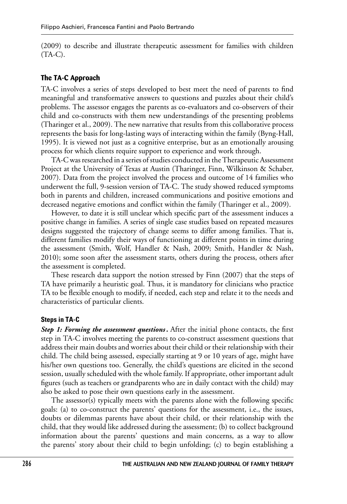(2009) to describe and illustrate therapeutic assessment for families with children (TA-C).

## **The TA-C Approach**

TA-C involves a series of steps developed to best meet the need of parents to find meaningful and transformative answers to questions and puzzles about their child's problems. The assessor engages the parents as co-evaluators and co-observers of their child and co-constructs with them new understandings of the presenting problems (Tharinger et al., 2009). The new narrative that results from this collaborative process represents the basis for long-lasting ways of interacting within the family (Byng-Hall, 1995). It is viewed not just as a cognitive enterprise, but as an emotionally arousing process for which clients require support to experience and work through.

TA-C was researched in a series of studies conducted in the Therapeutic Assessment Project at the University of Texas at Austin (Tharinger, Finn, Wilkinson & Schaber, 2007). Data from the project involved the process and outcome of 14 families who underwent the full, 9-session version of TA-C. The study showed reduced symptoms both in parents and children, increased communications and positive emotions and decreased negative emotions and conflict within the family (Tharinger et al., 2009).

However, to date it is still unclear which specific part of the assessment induces a positive change in families. A series of single case studies based on repeated measures designs suggested the trajectory of change seems to differ among families. That is, different families modify their ways of functioning at different points in time during the assessment (Smith, Wolf, Handler & Nash, 2009; Smith, Handler & Nash, 2010); some soon after the assessment starts, others during the process, others after the assessment is completed.

These research data support the notion stressed by Finn (2007) that the steps of TA have primarily a heuristic goal. Thus, it is mandatory for clinicians who practice TA to be flexible enough to modify, if needed, each step and relate it to the needs and characteristics of particular clients.

#### **Steps in TA-C**

*Step 1: Forming the assessment questions*. After the initial phone contacts, the first step in TA-C involves meeting the parents to co-construct assessment questions that address their main doubts and worries about their child or their relationship with their child. The child being assessed, especially starting at 9 or 10 years of age, might have his/her own questions too. Generally, the child's questions are elicited in the second session, usually scheduled with the whole family. If appropriate, other important adult figures (such as teachers or grandparents who are in daily contact with the child) may also be asked to pose their own questions early in the assessment.

The assessor(s) typically meets with the parents alone with the following specific goals: (a) to co-construct the parents' questions for the assessment, i.e., the issues, doubts or dilemmas parents have about their child, or their relationship with the child, that they would like addressed during the assessment; (b) to collect background information about the parents' questions and main concerns, as a way to allow the parents' story about their child to begin unfolding; (c) to begin establishing a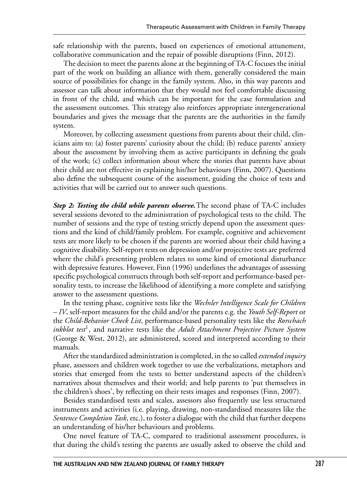safe relationship with the parents, based on experiences of emotional attunement, collaborative communication and the repair of possible disruptions (Finn, 2012).

The decision to meet the parents alone at the beginning of TA-C focuses the initial part of the work on building an alliance with them, generally considered the main source of possibilities for change in the family system. Also, in this way parents and assessor can talk about information that they would not feel comfortable discussing in front of the child, and which can be important for the case formulation and the assessment outcomes. This strategy also reinforces appropriate intergenerational boundaries and gives the message that the parents are the authorities in the family system.

Moreover, by collecting assessment questions from parents about their child, clinicians aim to: (a) foster parents' curiosity about the child; (b) reduce parents' anxiety about the assessment by involving them as active participants in defining the goals of the work; (c) collect information about where the stories that parents have about their child are not effective in explaining his/her behaviours (Finn, 2007). Questions also define the subsequent course of the assessment, guiding the choice of tests and activities that will be carried out to answer such questions.

*Step 2: Testing the child while parents observe.*The second phase of TA-C includes several sessions devoted to the administration of psychological tests to the child. The number of sessions and the type of testing strictly depend upon the assessment questions and the kind of child/family problem. For example, cognitive and achievement tests are more likely to be chosen if the parents are worried about their child having a cognitive disability. Self-report tests on depression and/or projective tests are preferred where the child's presenting problem relates to some kind of emotional disturbance with depressive features. However, Finn (1996) underlines the advantages of assessing specific psychological constructs through both self-report and performance-based personality tests, to increase the likelihood of identifying a more complete and satisfying answer to the assessment questions.

In the testing phase, cognitive tests like the *Wechsler Intelligence Scale for Children – IV*, self-report measures for the child and/or the parents e.g. the *Youth Self-Report* or the *Child-Behavior Check List*, performance-based personality tests like the *Rorschach inkblot test*1, and narrative tests like the *Adult Attachment Projective Picture System* (George & West, 2012), are administered, scored and interpreted according to their manuals.

After the standardized administration is completed, in the so called *extended inquiry* phase, assessors and children work together to use the verbalizations, metaphors and stories that emerged from the tests to better understand aspects of the children's narratives about themselves and their world; and help parents to 'put themselves in the children's shoes', by reflecting on their tests images and responses (Finn, 2007).

Besides standardised tests and scales, assessors also frequently use less structured instruments and activities (i.e. playing, drawing, non-standardised measures like the *Sentence Completion Task*, etc.), to foster a dialogue with the child that further deepens an understanding of his/her behaviours and problems.

One novel feature of TA-C, compared to traditional assessment procedures, is that during the child's testing the parents are usually asked to observe the child and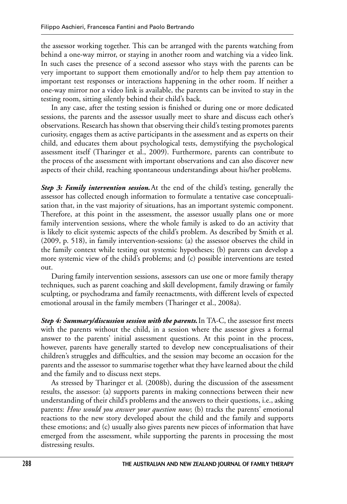the assessor working together. This can be arranged with the parents watching from behind a one-way mirror, or staying in another room and watching via a video link. In such cases the presence of a second assessor who stays with the parents can be very important to support them emotionally and/or to help them pay attention to important test responses or interactions happening in the other room. If neither a one-way mirror nor a video link is available, the parents can be invited to stay in the testing room, sitting silently behind their child's back.

In any case, after the testing session is finished or during one or more dedicated sessions, the parents and the assessor usually meet to share and discuss each other's observations. Research has shown that observing their child's testing promotes parents curiosity, engages them as active participants in the assessment and as experts on their child, and educates them about psychological tests, demystifying the psychological assessment itself (Tharinger et al., 2009). Furthermore, parents can contribute to the process of the assessment with important observations and can also discover new aspects of their child, reaching spontaneous understandings about his/her problems.

*Step 3: Family intervention session.*At the end of the child's testing, generally the assessor has collected enough information to formulate a tentative case conceptualisation that, in the vast majority of situations, has an important systemic component. Therefore, at this point in the assessment, the assessor usually plans one or more family intervention sessions, where the whole family is asked to do an activity that is likely to elicit systemic aspects of the child's problem. As described by Smith et al. (2009, p. 518), in family intervention-sessions: (a) the assessor observes the child in the family context while testing out systemic hypotheses; (b) parents can develop a more systemic view of the child's problems; and (c) possible interventions are tested out.

During family intervention sessions, assessors can use one or more family therapy techniques, such as parent coaching and skill development, family drawing or family sculpting, or psychodrama and family reenactments, with different levels of expected emotional arousal in the family members (Tharinger et al., 2008a).

*Step 4: Summary/discussion session with the parents.*In TA-C, the assessor first meets with the parents without the child, in a session where the assessor gives a formal answer to the parents' initial assessment questions. At this point in the process, however, parents have generally started to develop new conceptualisations of their children's struggles and difficulties, and the session may become an occasion for the parents and the assessor to summarise together what they have learned about the child and the family and to discuss next steps.

As stressed by Tharinger et al. (2008b), during the discussion of the assessment results, the assessor: (a) supports parents in making connections between their new understanding of their child's problems and the answers to their questions, i.e., asking parents: *How would you answer your question now*; (b) tracks the parents' emotional reactions to the new story developed about the child and the family and supports these emotions; and (c) usually also gives parents new pieces of information that have emerged from the assessment, while supporting the parents in processing the most distressing results.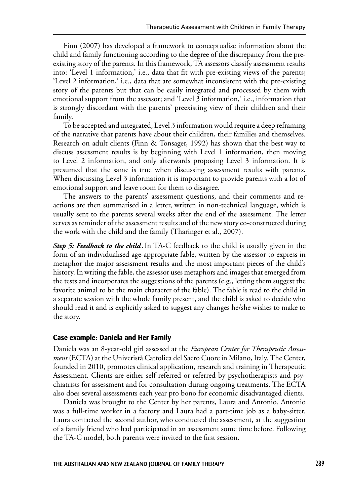Finn (2007) has developed a framework to conceptualise information about the child and family functioning according to the degree of the discrepancy from the preexisting story of the parents. In this framework, TA assessors classify assessment results into: 'Level 1 information,' i.e., data that fit with pre-existing views of the parents; 'Level 2 information,' i.e., data that are somewhat inconsistent with the pre-existing story of the parents but that can be easily integrated and processed by them with emotional support from the assessor; and 'Level 3 information,' i.e., information that is strongly discordant with the parents' preexisting view of their children and their family.

To be accepted and integrated, Level 3 information would require a deep reframing of the narrative that parents have about their children, their families and themselves. Research on adult clients (Finn & Tonsager, 1992) has shown that the best way to discuss assessment results is by beginning with Level 1 information, then moving to Level 2 information, and only afterwards proposing Level 3 information. It is presumed that the same is true when discussing assessment results with parents. When discussing Level 3 information it is important to provide parents with a lot of emotional support and leave room for them to disagree.

The answers to the parents' assessment questions, and their comments and reactions are then summarised in a letter, written in non-technical language, which is usually sent to the parents several weeks after the end of the assessment. The letter serves as reminder of the assessment results and of the new story co-constructed during the work with the child and the family (Tharinger et al., 2007).

*Step 5: Feedback to the child .*In TA-C feedback to the child is usually given in the form of an individualised age-appropriate fable, written by the assessor to express in metaphor the major assessment results and the most important pieces of the child's history. In writing the fable, the assessor uses metaphors and images that emerged from the tests and incorporates the suggestions of the parents (e.g., letting them suggest the favorite animal to be the main character of the fable). The fable is read to the child in a separate session with the whole family present, and the child is asked to decide who should read it and is explicitly asked to suggest any changes he/she wishes to make to the story.

# **Case example: Daniela and Her Family**

Daniela was an 8-year-old girl assessed at the *European Center for Therapeutic Assessment* (ECTA) at the Univerista Cattolica del Sacro Cuore in Milano, Italy. The Center, ` founded in 2010, promotes clinical application, research and training in Therapeutic Assessment. Clients are either self-referred or referred by psychotherapists and psychiatrists for assessment and for consultation during ongoing treatments. The ECTA also does several assessments each year pro bono for economic disadvantaged clients.

Daniela was brought to the Center by her parents, Laura and Antonio. Antonio was a full-time worker in a factory and Laura had a part-time job as a baby-sitter. Laura contacted the second author, who conducted the assessment, at the suggestion of a family friend who had participated in an assessment some time before. Following the TA-C model, both parents were invited to the first session.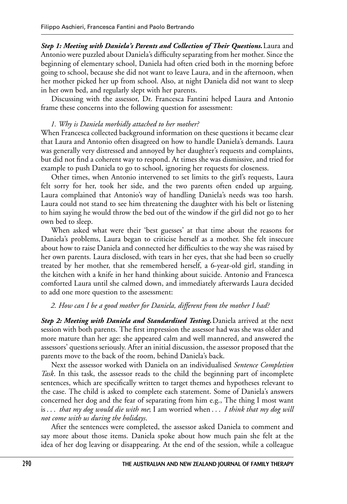*Step 1: Meeting with Daniela's Parents and Collection of Their Questions.*Laura and Antonio were puzzled about Daniela's difficulty separating from her mother. Since the beginning of elementary school, Daniela had often cried both in the morning before going to school, because she did not want to leave Laura, and in the afternoon, when her mother picked her up from school. Also, at night Daniela did not want to sleep in her own bed, and regularly slept with her parents.

Discussing with the assessor, Dr. Francesca Fantini helped Laura and Antonio frame these concerns into the following question for assessment:

# *1. Why is Daniela morbidly attached to her mother?*

When Francesca collected background information on these questions it became clear that Laura and Antonio often disagreed on how to handle Daniela's demands. Laura was generally very distressed and annoyed by her daughter's requests and complaints, but did not find a coherent way to respond. At times she was dismissive, and tried for example to push Daniela to go to school, ignoring her requests for closeness.

Other times, when Antonio intervened to set limits to the girl's requests, Laura felt sorry for her, took her side, and the two parents often ended up arguing. Laura complained that Antonio's way of handling Daniela's needs was too harsh. Laura could not stand to see him threatening the daughter with his belt or listening to him saying he would throw the bed out of the window if the girl did not go to her own bed to sleep.

When asked what were their 'best guesses' at that time about the reasons for Daniela's problems, Laura began to criticise herself as a mother. She felt insecure about how to raise Daniela and connected her difficulties to the way she was raised by her own parents. Laura disclosed, with tears in her eyes, that she had been so cruelly treated by her mother, that she remembered herself, a 6-year-old girl, standing in the kitchen with a knife in her hand thinking about suicide. Antonio and Francesca comforted Laura until she calmed down, and immediately afterwards Laura decided to add one more question to the assessment:

# *2. How can I be a good mother for Daniela, different from the mother I had?*

*Step 2: Meeting with Daniela and Standardised Testing.*Daniela arrived at the next session with both parents. The first impression the assessor had was she was older and more mature than her age: she appeared calm and well mannered, and answered the assessors' questions seriously. After an initial discussion, the assessor proposed that the parents move to the back of the room, behind Daniela's back.

Next the assessor worked with Daniela on an individualised *Sentence Completion Task*. In this task, the assessor reads to the child the beginning part of incomplete sentences, which are specifically written to target themes and hypotheses relevant to the case. The child is asked to complete each statement. Some of Daniela's answers concerned her dog and the fear of separating from him e.g., The thing I most want is . . . *that my dog would die with me*; I am worried when . . . *I think that my dog will not come with us during the holidays*.

After the sentences were completed, the assessor asked Daniela to comment and say more about those items. Daniela spoke about how much pain she felt at the idea of her dog leaving or disappearing. At the end of the session, while a colleague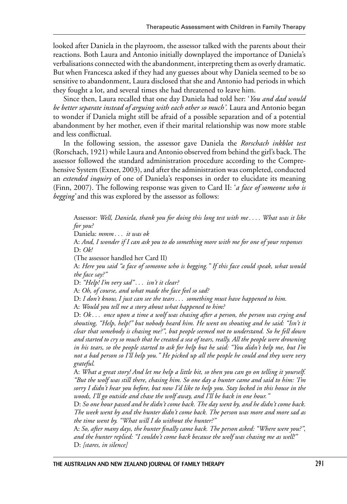looked after Daniela in the playroom, the assessor talked with the parents about their reactions. Both Laura and Antonio initially downplayed the importance of Daniela's verbalisations connected with the abandonment, interpreting them as overly dramatic. But when Francesca asked if they had any guesses about why Daniela seemed to be so sensitive to abandonment, Laura disclosed that she and Antonio had periods in which they fought a lot, and several times she had threatened to leave him.

Since then, Laura recalled that one day Daniela had told her: '*You and dad would be better separate instead of arguing with each other so much'.* Laura and Antonio began to wonder if Daniela might still be afraid of a possible separation and of a potential abandonment by her mother, even if their marital relationship was now more stable and less conflictual.

In the following session, the assessor gave Daniela the *Rorschach inkblot test* (Rorschach, 1921) while Laura and Antonio observed from behind the girl's back. The assessor followed the standard administration procedure according to the Comprehensive System (Exner, 2003), and after the administration was completed, conducted an *extended inquiry* of one of Daniela's responses in order to elucidate its meaning (Finn, 2007). The following response was given to Card II: '*a face of someone who is begging'* and this was explored by the assessor as follows:

Assessor: *Well, Daniela, thank you for doing this long test with me . . . . What was it like for you?*

Daniela: *mmm . . . it was ok*

A: *And, I wonder if I can ask you to do something more with me for one of your responses* D: *Ok!*

(The assessor handled her Card II)

A: *Here you said "a face of someone who is begging." If this face could speak, what would the face say?"*

D: *"Help! I'm very sad" . . . isn't it clear?*

A: *Oh, of course, and what made the face feel so sad?*

D: *I don't know, I just can see the tears . . . something must have happened to him.*

A: *Would you tell me a story about what happened to him?*

D: *Ok . . . once upon a time a wolf was chasing after a person, the person was crying and shouting, "Help, help!" but nobody heard him. He went on shouting and he said: "Isn't it clear that somebody is chasing me?", but people seemed not to understand. So he fell down and started to cry so much that he created a sea of tears, really. All the people were drowning in his tears, so the people started to ask for help but he said: "You didn't help me, but I'm not a bad person so I'll help you." He picked up all the people he could and they were very grateful.*

A: *What a great story! And let me help a little bit, so then you can go on telling it yourself. "But the wolf was still there, chasing him. So one day a hunter came and said to him: 'I'm sorry I didn't hear you before, but now I'd like to help you. Stay locked in this house in the woods, I'll go outside and chase the wolf away, and I'll be back in one hour."*

D: *So one hour passed and he didn't come back. The day went by, and he didn't come back. The week went by and the hunter didn't come back. The person was more and more sad as the time went by. "What will I do without the hunter?"*

A: *So, after many days, the hunter finally came back. The person asked: "Where were you?", and the hunter replied: "I couldn't come back because the wolf was chasing me as well!"* D: *[stares, in silence]*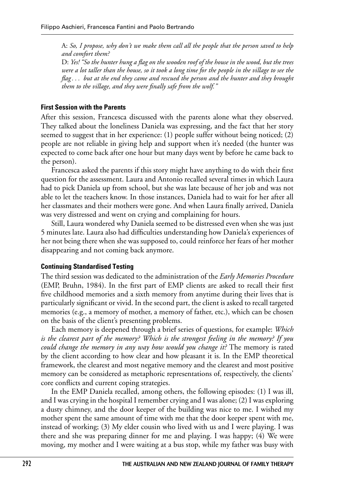A: *So, I propose, why don't we make them call all the people that the person saved to help and comfort them?*

D: *Yes! "So the hunter hung a flag on the wooden roof of the house in the wood, but the trees were a lot taller than the house, so it took a long time for the people in the village to see the flag . . . but at the end they came and rescued the person and the hunter and they brought them to the village, and they were finally safe from the wolf."*

## **First Session with the Parents**

After this session, Francesca discussed with the parents alone what they observed. They talked about the loneliness Daniela was expressing, and the fact that her story seemed to suggest that in her experience: (1) people suffer without being noticed; (2) people are not reliable in giving help and support when it's needed (the hunter was expected to come back after one hour but many days went by before he came back to the person).

Francesca asked the parents if this story might have anything to do with their first question for the assessment. Laura and Antonio recalled several times in which Laura had to pick Daniela up from school, but she was late because of her job and was not able to let the teachers know. In those instances, Daniela had to wait for her after all her classmates and their mothers were gone. And when Laura finally arrived, Daniela was very distressed and went on crying and complaining for hours.

Still, Laura wondered why Daniela seemed to be distressed even when she was just 5 minutes late. Laura also had difficulties understanding how Daniela's experiences of her not being there when she was supposed to, could reinforce her fears of her mother disappearing and not coming back anymore.

### **Continuing Standardised Testing**

The third session was dedicated to the administration of the *Early Memories Procedure* (EMP, Bruhn, 1984). In the first part of EMP clients are asked to recall their first five childhood memories and a sixth memory from anytime during their lives that is particularly significant or vivid. In the second part, the client is asked to recall targeted memories (e.g., a memory of mother, a memory of father, etc.), which can be chosen on the basis of the client's presenting problems.

Each memory is deepened through a brief series of questions, for example: *Which is the clearest part of the memory? Which is the strongest feeling in the memory? If you could change the memory in any way how would you change it?* The memory is rated by the client according to how clear and how pleasant it is. In the EMP theoretical framework, the clearest and most negative memory and the clearest and most positive memory can be considered as metaphoric representations of, respectively, the clients' core conflicts and current coping strategies.

In the EMP Daniela recalled, among others, the following episodes: (1) I was ill, and I was crying in the hospital I remember crying and I was alone; (2) I was exploring a dusty chimney, and the door keeper of the building was nice to me. I wished my mother spent the same amount of time with me that the door keeper spent with me, instead of working; (3) My elder cousin who lived with us and I were playing. I was there and she was preparing dinner for me and playing. I was happy; (4) We were moving, my mother and I were waiting at a bus stop, while my father was busy with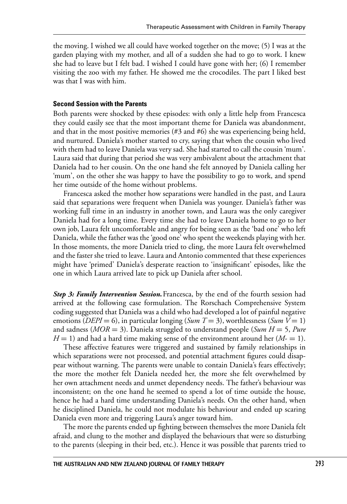the moving. I wished we all could have worked together on the move; (5) I was at the garden playing with my mother, and all of a sudden she had to go to work. I knew she had to leave but I felt bad. I wished I could have gone with her; (6) I remember visiting the zoo with my father. He showed me the crocodiles. The part I liked best was that I was with him.

# **Second Session with the Parents**

Both parents were shocked by these episodes: with only a little help from Francesca they could easily see that the most important theme for Daniela was abandonment, and that in the most positive memories (#3 and #6) she was experiencing being held, and nurtured. Daniela's mother started to cry, saying that when the cousin who lived with them had to leave Daniela was very sad. She had started to call the cousin 'mum'. Laura said that during that period she was very ambivalent about the attachment that Daniela had to her cousin. On the one hand she felt annoyed by Daniela calling her 'mum', on the other she was happy to have the possibility to go to work, and spend her time outside of the home without problems.

Francesca asked the mother how separations were handled in the past, and Laura said that separations were frequent when Daniela was younger. Daniela's father was working full time in an industry in another town, and Laura was the only caregiver Daniela had for a long time. Every time she had to leave Daniela home to go to her own job, Laura felt uncomfortable and angry for being seen as the 'bad one' who left Daniela, while the father was the 'good one' who spent the weekends playing with her. In those moments, the more Daniela tried to cling, the more Laura felt overwhelmed and the faster she tried to leave. Laura and Antonio commented that these experiences might have 'primed' Daniela's desperate reaction to 'insignificant' episodes, like the one in which Laura arrived late to pick up Daniela after school.

*Step 3: Family Intervention Session.*Francesca, by the end of the fourth session had arrived at the following case formulation. The Rorschach Comprehensive System coding suggested that Daniela was a child who had developed a lot of painful negative emotions (*DEPI* = 6), in particular longing (*Sum T* = 3), worthlessness (*Sum V* = 1) and sadness (*MOR* = 3). Daniela struggled to understand people (*Sum H* = 5, *Pure*  $H = 1$ ) and had a hard time making sense of the environment around her  $(M = 1)$ .

These affective features were triggered and sustained by family relationships in which separations were not processed, and potential attachment figures could disappear without warning. The parents were unable to contain Daniela's fears effectively; the more the mother felt Daniela needed her, the more she felt overwhelmed by her own attachment needs and unmet dependency needs. The father's behaviour was inconsistent; on the one hand he seemed to spend a lot of time outside the house, hence he had a hard time understanding Daniela's needs. On the other hand, when he disciplined Daniela, he could not modulate his behaviour and ended up scaring Daniela even more and triggering Laura's anger toward him.

The more the parents ended up fighting between themselves the more Daniela felt afraid, and clung to the mother and displayed the behaviours that were so disturbing to the parents (sleeping in their bed, etc.). Hence it was possible that parents tried to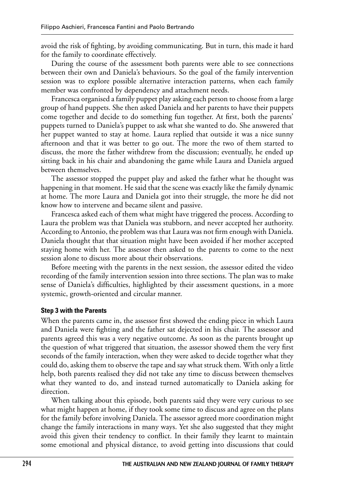avoid the risk of fighting, by avoiding communicating. But in turn, this made it hard for the family to coordinate effectively.

During the course of the assessment both parents were able to see connections between their own and Daniela's behaviours. So the goal of the family intervention session was to explore possible alternative interaction patterns, when each family member was confronted by dependency and attachment needs.

Francesca organised a family puppet play asking each person to choose from a large group of hand puppets. She then asked Daniela and her parents to have their puppets come together and decide to do something fun together. At first, both the parents' puppets turned to Daniela's puppet to ask what she wanted to do. She answered that her puppet wanted to stay at home. Laura replied that outside it was a nice sunny afternoon and that it was better to go out. The more the two of them started to discuss, the more the father withdrew from the discussion; eventually, he ended up sitting back in his chair and abandoning the game while Laura and Daniela argued between themselves.

The assessor stopped the puppet play and asked the father what he thought was happening in that moment. He said that the scene was exactly like the family dynamic at home. The more Laura and Daniela got into their struggle, the more he did not know how to intervene and became silent and passive.

Francesca asked each of them what might have triggered the process. According to Laura the problem was that Daniela was stubborn, and never accepted her authority. According to Antonio, the problem was that Laura was not firm enough with Daniela. Daniela thought that that situation might have been avoided if her mother accepted staying home with her. The assessor then asked to the parents to come to the next session alone to discuss more about their observations.

Before meeting with the parents in the next session, the assessor edited the video recording of the family intervention session into three sections. The plan was to make sense of Daniela's difficulties, highlighted by their assessment questions, in a more systemic, growth-oriented and circular manner.

### **Step 3 with the Parents**

When the parents came in, the assessor first showed the ending piece in which Laura and Daniela were fighting and the father sat dejected in his chair. The assessor and parents agreed this was a very negative outcome. As soon as the parents brought up the question of what triggered that situation, the assessor showed them the very first seconds of the family interaction, when they were asked to decide together what they could do, asking them to observe the tape and say what struck them. With only a little help, both parents realised they did not take any time to discuss between themselves what they wanted to do, and instead turned automatically to Daniela asking for direction.

When talking about this episode, both parents said they were very curious to see what might happen at home, if they took some time to discuss and agree on the plans for the family before involving Daniela. The assessor agreed more coordination might change the family interactions in many ways. Yet she also suggested that they might avoid this given their tendency to conflict. In their family they learnt to maintain some emotional and physical distance, to avoid getting into discussions that could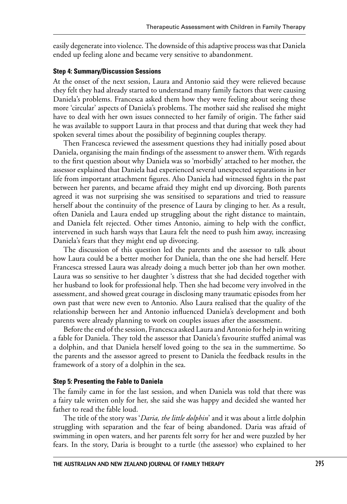easily degenerate into violence. The downside of this adaptive process was that Daniela ended up feeling alone and became very sensitive to abandonment.

# **Step 4: Summary/Discussion Sessions**

At the onset of the next session, Laura and Antonio said they were relieved because they felt they had already started to understand many family factors that were causing Daniela's problems. Francesca asked them how they were feeling about seeing these more 'circular' aspects of Daniela's problems. The mother said she realised she might have to deal with her own issues connected to her family of origin. The father said he was available to support Laura in that process and that during that week they had spoken several times about the possibility of beginning couples therapy.

Then Francesca reviewed the assessment questions they had initially posed about Daniela, organising the main findings of the assessment to answer them. With regards to the first question about why Daniela was so 'morbidly' attached to her mother, the assessor explained that Daniela had experienced several unexpected separations in her life from important attachment figures. Also Daniela had witnessed fights in the past between her parents, and became afraid they might end up divorcing. Both parents agreed it was not surprising she was sensitised to separations and tried to reassure herself about the continuity of the presence of Laura by clinging to her. As a result, often Daniela and Laura ended up struggling about the right distance to maintain, and Daniela felt rejected. Other times Antonio, aiming to help with the conflict, intervened in such harsh ways that Laura felt the need to push him away, increasing Daniela's fears that they might end up divorcing.

The discussion of this question led the parents and the assessor to talk about how Laura could be a better mother for Daniela, than the one she had herself. Here Francesca stressed Laura was already doing a much better job than her own mother. Laura was so sensitive to her daughter 's distress that she had decided together with her husband to look for professional help. Then she had become very involved in the assessment, and showed great courage in disclosing many traumatic episodes from her own past that were new even to Antonio. Also Laura realised that the quality of the relationship between her and Antonio influenced Daniela's development and both parents were already planning to work on couples issues after the assessment.

Before the end of the session, Francesca asked Laura and Antonio for help in writing a fable for Daniela. They told the assessor that Daniela's favourite stuffed animal was a dolphin, and that Daniela herself loved going to the sea in the summertime. So the parents and the assessor agreed to present to Daniela the feedback results in the framework of a story of a dolphin in the sea.

# **Step 5: Presenting the Fable to Daniela**

The family came in for the last session, and when Daniela was told that there was a fairy tale written only for her, she said she was happy and decided she wanted her father to read the fable loud.

The title of the story was '*Daria, the little dolphin*' and it was about a little dolphin struggling with separation and the fear of being abandoned. Daria was afraid of swimming in open waters, and her parents felt sorry for her and were puzzled by her fears. In the story, Daria is brought to a turtle (the assessor) who explained to her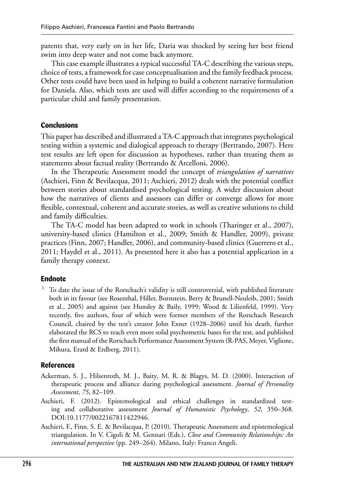parents that, very early on in her life, Daria was shocked by seeing her best friend swim into deep water and not come back anymore.

This case example illustrates a typical successful TA-C describing the various steps, choice of tests, a framework for case conceptualisation and the family feedback process. Other tests could have been used in helping to build a coherent narrative formulation for Daniela. Also, which tests are used will differ according to the requirements of a particular child and family presentation.

## **Conclusions**

This paper has described and illustrated a TA-C approach that integrates psychological testing within a systemic and dialogical approach to therapy (Bertrando, 2007). Here test results are left open for discussion as hypotheses, rather than treating them as statements about factual reality (Bertrando & Arcelloni, 2006).

In the Therapeutic Assessment model the concept of *triangulation of narratives* (Aschieri, Finn & Bevilacqua, 2011; Aschieri, 2012) deals with the potential conflict between stories about standardised psychological testing. A wider discussion about how the narratives of clients and assessors can differ or converge allows for more flexible, contextual, coherent and accurate stories, as well as creative solutions to child and family difficulties.

The TA-C model has been adapted to work in schools (Tharinger et al., 2007), university-based clinics (Hamilton et al., 2009; Smith & Handler, 2009), private practices (Finn, 2007; Handler, 2006), and community-based clinics (Guerrero et al., 2011; Haydel et al., 2011). As presented here it also has a potential application in a family therapy context.

### **Endnote**

<sup>1</sup> To date the issue of the Rorschach's validity is still controversial, with published literature both in its favour (see Rosenthal, Hiller, Bornstein, Berry & Brunell-Neuleib, 2001; Smith et al., 2005) and against (see Hunsley & Baily, 1999; Wood & Lilienfeld, 1999). Very recently, five authors, four of which were former members of the Rorschach Research Council, chaired by the test's creator John Exner (1928–2006) until his death, further elaborated the RCS to reach even more solid psychometric bases for the test, and published the first manual of the Rorschach Performance Assessment System (R-PAS, Meyer, Viglione, Mihura, Erard & Erdberg, 2011).

### **References**

- Ackerman, S. J., Hilsenroth, M. J., Baity, M. R. & Blagys, M. D. (2000). Interaction of therapeutic process and alliance during psychological assessment. *Journal of Personality Assessment*, *75*, 82–109.
- Aschieri, F. (2012). Epistemological and ethical challenges in standardized testing and collaborative assessment *Journal of Humanistic Psychology*, *52*, 350–368. DOI:10.1177/0022167811422946.
- Aschieri, F., Finn, S. E. & Bevilacqua, P. (2010). Therapeutic Assessment and epistemological triangulation. In V. Cigoli & M. Gennari (Eds.), *Close and Community Relationships: An international perspective* (pp. 249–264). Milano, Italy: Franco Angeli.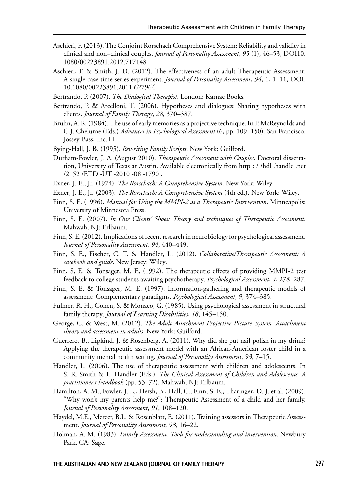- Aschieri, F. (2013). The Conjoint Rorschach Comprehensive System: Reliability and validity in clinical and non–clinical couples. *Journal of Personality Assessment*, *95* (1), 46–53, DOI10. 1080/00223891.2012.717148
- Aschieri, F. & Smith, J. D. (2012). The effectiveness of an adult Therapeutic Assessment: A single-case time-series experiment. *Journal of Personality Assessment*, *94*, 1, 1–11, DOI: 10.1080/00223891.2011.627964

Bertrando, P. (2007). *The Dialogical Therapist*. London: Karnac Books.

- Bertrando, P. & Arcelloni, T. (2006). Hypotheses and dialogues: Sharing hypotheses with clients. *Journal of Family Therapy*, *28*, 370–387.
- Bruhn, A. R. (1984). The use of early memories as a projective technique. In P. McReynolds and C.J. Chelume (Eds.) *Advances in Psychological Assessment* (6, pp. 109–150). San Francisco: Jossey-Bass, Inc. □
- Bying-Hall, J. B. (1995). *Rewriting Family Scripts*. New York: Guilford.
- Durham-Fowler, J. A. (August 2010). *Therapeutic Assessment with Couples*. Doctoral dissertation, University of Texas at Austin. Available electronically from http : / /hdl .handle .net /2152 /ETD -UT -2010 -08 -1790 .
- Exner, J. E., Jr. (1974). *The Rorschach: A Comprehensive System*. New York: Wiley.
- Exner, J. E., Jr. (2003). *The Rorschach: A Comprehensive System* (4th ed.). New York: Wiley.
- Finn, S. E. (1996). *Manual for Using the MMPI-2 as a Therapeutic Intervention*. Minneapolis: University of Minnesota Press.
- Finn, S. E. (2007). *In Our Clients' Shoes: Theory and techniques of Therapeutic Assessment*. Mahwah, NJ: Erlbaum.
- Finn, S. E. (2012). Implications of recent research in neurobiology for psychological assessment. *Journal of Personality Assessment*, *94*, 440–449.
- Finn, S. E., Fischer, C. T. & Handler, L. (2012). *Collaborative/Therapeutic Assessment: A casebook and guide*. New Jersey: Wiley.
- Finn, S. E. & Tonsager, M. E. (1992). The therapeutic effects of providing MMPI-2 test feedback to college students awaiting psychotherapy. *Psychological Assessment*, *4*, 278–287.
- Finn, S. E. & Tonsager, M. E. (1997). Information-gathering and therapeutic models of assessment: Complementary paradigms. *Psychological Assessment*, *9*, 374–385.
- Fulmer, R. H., Cohen, S. & Monaco, G. (1985). Using psychological assessment in structural family therapy. *Journal of Learning Disabilities*, *18*, 145–150.
- George, C. & West, M. (2012). *The Adult Attachment Projective Picture System: Attachment theory and assessment in adults*. New York: Guilford.
- Guerrero, B., Lipkind, J. & Rosenberg, A. (2011). Why did she put nail polish in my drink? Applying the therapeutic assessment model with an African-American foster child in a community mental health setting. *Journal of Personality Assessment*, *93*, 7–15.
- Handler, L. (2006). The use of therapeutic assessment with children and adolescents. In S. R. Smith & L. Handler (Eds.). *The Clinical Assessment of Children and Adolescents: A practitioner's handbook* (pp. 53–72). Mahwah, NJ: Erlbaum.
- Hamilton, A. M., Fowler, J. L., Hersh, B., Hall, C., Finn, S. E., Tharinger, D. J. et al. (2009). "Why won't my parents help me?": Therapeutic Assessment of a child and her family. *Journal of Personality Assessment*, *91*, 108–120.
- Haydel, M.E., Mercer, B.L. & Rosenblatt, E. (2011). Training assessors in Therapeutic Assessment. *Journal of Personality Assessment*, *93*, 16–22.
- Holman, A. M. (1983). *Family Assessment. Tools for understanding and intervention*. Newbury Park, CA: Sage.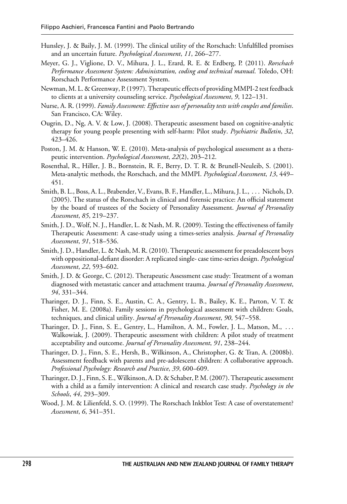- Hunsley, J. & Baily, J. M. (1999). The clinical utility of the Rorschach: Unfulfilled promises and an uncertain future. *Psychological Assessment*, *11*, 266–277.
- Meyer, G. J., Viglione, D. V., Mihura, J. L., Erard, R. E. & Erdberg, P. (2011). *Rorschach Performance Assessment System: Administration, coding and technical manual*. Toledo, OH: Rorschach Performance Assessment System.
- Newman, M. L. & Greenway, P. (1997). Therapeutic effects of providing MMPI-2 test feedback to clients at a university counseling service. *Psychological Assessment*, *9*, 122–131.
- Nurse, A. R. (1999). *Family Assessment: Effective uses of personality tests with couples and families*. San Francisco, CA: Wiley.
- Ougrin, D., Ng, A. V. & Low, J. (2008). Therapeutic assessment based on cognitive-analytic therapy for young people presenting with self-harm: Pilot study. *Psychiatric Bulletin*, *32*, 423–426.
- Poston, J. M. & Hanson, W. E. (2010). Meta-analysis of psychological assessment as a therapeutic intervention. *Psychological Assessment*, *22*(2), 203–212.
- Rosenthal, R., Hiller, J. B., Bornstein, R. F., Berry, D. T. R. & Brunell-Neuleib, S. (2001). Meta-analytic methods, the Rorschach, and the MMPI. *Psychological Assessment*, *13*, 449– 451.
- Smith, B. L., Boss, A. L., Brabender, V., Evans, B. F., Handler, L., Mihura, J. L., . . . Nichols, D. (2005). The status of the Rorschach in clinical and forensic practice: An official statement by the board of trustees of the Society of Personality Assessment. *Journal of Personality Assessment*, *85*, 219–237.
- Smith, J. D., Wolf, N. J., Handler, L. & Nash, M. R. (2009). Testing the effectiveness of family Therapeutic Assessment: A case-study using a times-series analysis. *Journal of Personality Assessment*, *91*, 518–536.
- Smith, J. D., Handler, L. & Nash, M. R. (2010). Therapeutic assessment for preadolescent boys with oppositional-defiant disorder: A replicated single- case time-series design. *Psychological Assessment*, *22*, 593–602.
- Smith, J. D. & George, C. (2012). Therapeutic Assessment case study: Treatment of a woman diagnosed with metastatic cancer and attachment trauma. *Journal of Personality Assessment*, *94*, 331–344.
- Tharinger, D. J., Finn, S. E., Austin, C. A., Gentry, L. B., Bailey, K. E., Parton, V. T. & Fisher, M. E. (2008a). Family sessions in psychological assessment with children: Goals, techniques, and clinical utility. *Journal of Personality Assessment*, *90*, 547–558.
- Tharinger, D. J., Finn, S. E., Gentry, L., Hamilton, A. M., Fowler, J. L., Matson, M., ... Walkowiak, J. (2009). Therapeutic assessment with children: A pilot study of treatment acceptability and outcome. *Journal of Personality Assessment*, *91*, 238–244.
- Tharinger, D. J., Finn, S. E., Hersh, B., Wilkinson, A., Christopher, G. & Tran, A. (2008b). Assessment feedback with parents and pre-adolescent children: A collaborative approach. *Professional Psychology: Research and Practice*, *39*, 600–609.
- Tharinger, D. J., Finn, S. E.,Wilkinson, A. D. & Schaber, P. M. (2007). Therapeutic assessment with a child as a family intervention: A clinical and research case study. *Psychology in the Schools*, *44*, 293–309.
- Wood, J. M. & Lilienfeld, S. O. (1999). The Rorschach Inkblot Test: A case of overstatement? *Assessment*, *6*, 341–351.